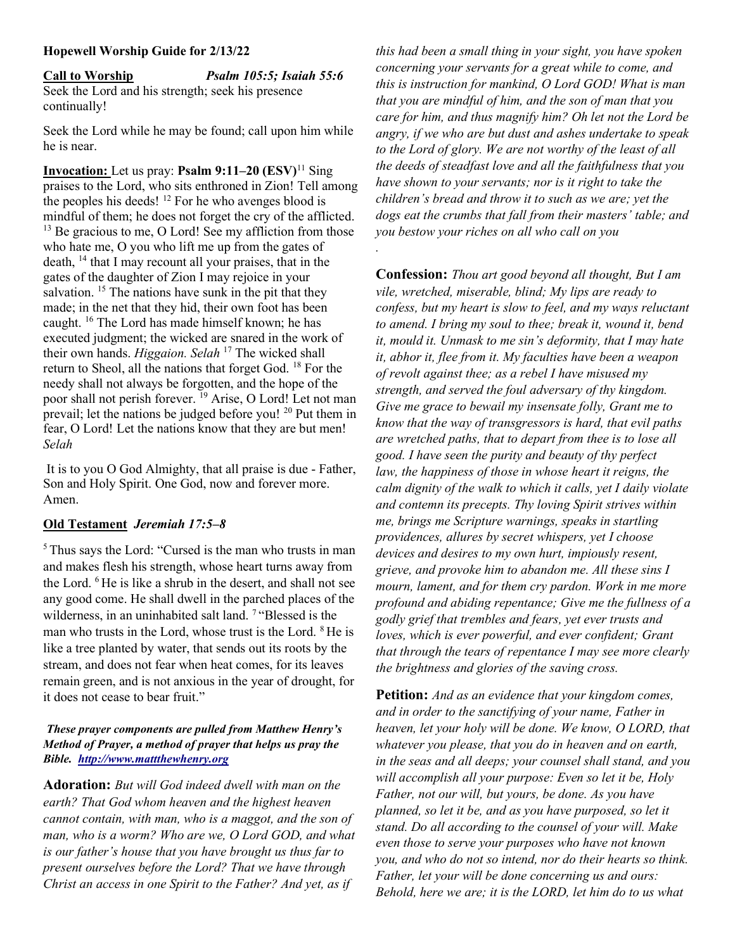#### Hopewell Worship Guide for 2/13/22

Call to Worship Psalm 105:5; Isaiah 55:6 Seek the Lord and his strength; seek his presence continually!

Seek the Lord while he may be found; call upon him while he is near.

**Invocation:** Let us pray: **Psalm 9:11–20** ( $ESV$ )<sup>11</sup> Sing praises to the Lord, who sits enthroned in Zion! Tell among the peoples his deeds!  $^{12}$  For he who avenges blood is mindful of them; he does not forget the cry of the afflicted.  $13$  Be gracious to me, O Lord! See my affliction from those who hate me, O you who lift me up from the gates of death,  $^{14}$  that I may recount all your praises, that in the gates of the daughter of Zion I may rejoice in your salvation.  $15$  The nations have sunk in the pit that they made; in the net that they hid, their own foot has been caught. <sup>16</sup> The Lord has made himself known; he has executed judgment; the wicked are snared in the work of their own hands. Higgaion. Selah <sup>17</sup> The wicked shall return to Sheol, all the nations that forget God. <sup>18</sup> For the needy shall not always be forgotten, and the hope of the poor shall not perish forever. <sup>19</sup> Arise, O Lord! Let not man prevail; let the nations be judged before you! <sup>20</sup> Put them in fear, O Lord! Let the nations know that they are but men! Selah

 It is to you O God Almighty, that all praise is due - Father, Son and Holy Spirit. One God, now and forever more. Amen.

## Old Testament Jeremiah 17:5–8

<sup>5</sup>Thus says the Lord: "Cursed is the man who trusts in man and makes flesh his strength, whose heart turns away from the Lord. <sup>6</sup>He is like a shrub in the desert, and shall not see any good come. He shall dwell in the parched places of the wilderness, in an uninhabited salt land.<sup>7</sup> "Blessed is the man who trusts in the Lord, whose trust is the Lord. <sup>8</sup>He is like a tree planted by water, that sends out its roots by the stream, and does not fear when heat comes, for its leaves remain green, and is not anxious in the year of drought, for it does not cease to bear fruit."

## These prayer components are pulled from Matthew Henry's Method of Prayer, a method of prayer that helps us pray the Bible. http://www.mattthewhenry.org

Adoration: But will God indeed dwell with man on the earth? That God whom heaven and the highest heaven cannot contain, with man, who is a maggot, and the son of man, who is a worm? Who are we, O Lord GOD, and what is our father's house that you have brought us thus far to present ourselves before the Lord? That we have through Christ an access in one Spirit to the Father? And yet, as if

this had been a small thing in your sight, you have spoken concerning your servants for a great while to come, and this is instruction for mankind, O Lord GOD! What is man that you are mindful of him, and the son of man that you care for him, and thus magnify him? Oh let not the Lord be angry, if we who are but dust and ashes undertake to speak to the Lord of glory. We are not worthy of the least of all the deeds of steadfast love and all the faithfulness that you have shown to your servants; nor is it right to take the children's bread and throw it to such as we are; yet the dogs eat the crumbs that fall from their masters' table; and you bestow your riches on all who call on you

.

Confession: Thou art good beyond all thought, But I am vile, wretched, miserable, blind; My lips are ready to confess, but my heart is slow to feel, and my ways reluctant to amend. I bring my soul to thee; break it, wound it, bend it, mould it. Unmask to me sin's deformity, that I may hate it, abhor it, flee from it. My faculties have been a weapon of revolt against thee; as a rebel I have misused my strength, and served the foul adversary of thy kingdom. Give me grace to bewail my insensate folly, Grant me to know that the way of transgressors is hard, that evil paths are wretched paths, that to depart from thee is to lose all good. I have seen the purity and beauty of thy perfect law, the happiness of those in whose heart it reigns, the calm dignity of the walk to which it calls, yet I daily violate and contemn its precepts. Thy loving Spirit strives within me, brings me Scripture warnings, speaks in startling providences, allures by secret whispers, yet I choose devices and desires to my own hurt, impiously resent, grieve, and provoke him to abandon me. All these sins I mourn, lament, and for them cry pardon. Work in me more profound and abiding repentance; Give me the fullness of a godly grief that trembles and fears, yet ever trusts and loves, which is ever powerful, and ever confident; Grant that through the tears of repentance I may see more clearly the brightness and glories of the saving cross.

Petition: And as an evidence that your kingdom comes, and in order to the sanctifying of your name, Father in heaven, let your holy will be done. We know, O LORD, that whatever you please, that you do in heaven and on earth, in the seas and all deeps; your counsel shall stand, and you will accomplish all your purpose: Even so let it be, Holy Father, not our will, but yours, be done. As you have planned, so let it be, and as you have purposed, so let it stand. Do all according to the counsel of your will. Make even those to serve your purposes who have not known you, and who do not so intend, nor do their hearts so think. Father, let your will be done concerning us and ours: Behold, here we are; it is the LORD, let him do to us what